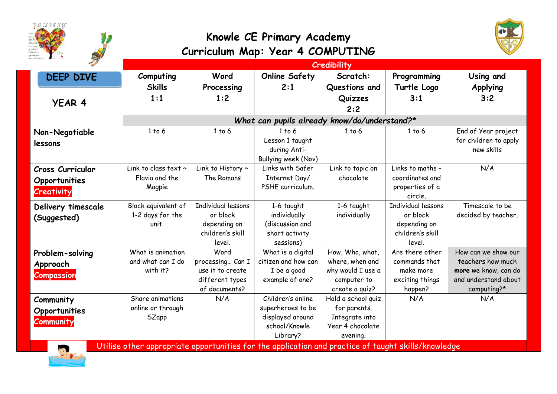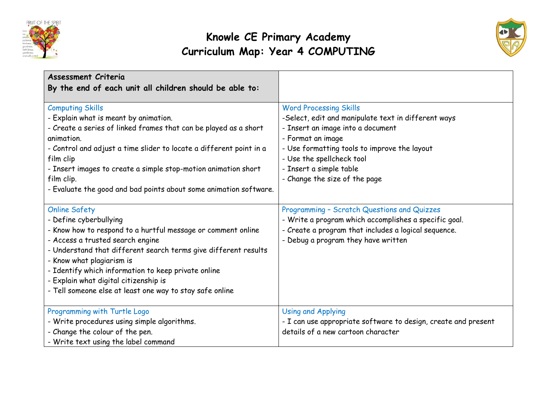



| <b>Assessment Criteria</b><br>By the end of each unit all children should be able to:                                                                                                                                                                                                                                                                                                                          |                                                                                                                                                                                                                                                                                         |
|----------------------------------------------------------------------------------------------------------------------------------------------------------------------------------------------------------------------------------------------------------------------------------------------------------------------------------------------------------------------------------------------------------------|-----------------------------------------------------------------------------------------------------------------------------------------------------------------------------------------------------------------------------------------------------------------------------------------|
| <b>Computing Skills</b><br>- Explain what is meant by animation.<br>- Create a series of linked frames that can be played as a short<br>animation.<br>- Control and adjust a time slider to locate a different point in a<br>film clip<br>- Insert images to create a simple stop-motion animation short<br>film clip.<br>- Evaluate the good and bad points about some animation software.                    | <b>Word Processing Skills</b><br>-Select, edit and manipulate text in different ways<br>- Insert an image into a document<br>- Format an image<br>- Use formatting tools to improve the layout<br>- Use the spellcheck tool<br>- Insert a simple table<br>- Change the size of the page |
| <b>Online Safety</b><br>- Define cyberbullying<br>- Know how to respond to a hurtful message or comment online<br>- Access a trusted search engine<br>- Understand that different search terms give different results<br>- Know what plagiarism is<br>- Identify which information to keep private online<br>- Explain what digital citizenship is<br>- Tell someone else at least one way to stay safe online | Programming - Scratch Questions and Quizzes<br>- Write a program which accomplishes a specific goal.<br>- Create a program that includes a logical sequence.<br>- Debug a program they have written                                                                                     |
| Programming with Turtle Logo<br>- Write procedures using simple algorithms.<br>- Change the colour of the pen.<br>- Write text using the label command                                                                                                                                                                                                                                                         | <b>Using and Applying</b><br>- I can use appropriate software to design, create and present<br>details of a new cartoon character                                                                                                                                                       |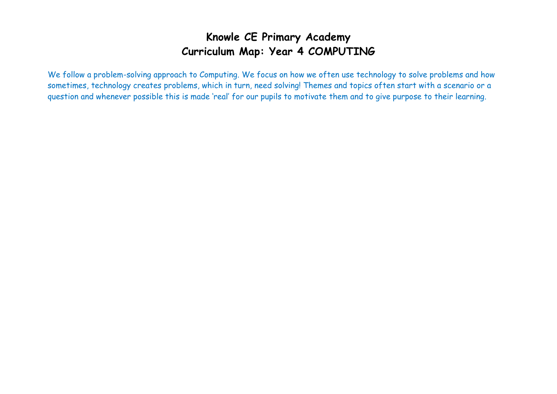We follow a problem-solving approach to Computing. We focus on how we often use technology to solve problems and how sometimes, technology creates problems, which in turn, need solving! Themes and topics often start with a scenario or a question and whenever possible this is made 'real' for our pupils to motivate them and to give purpose to their learning.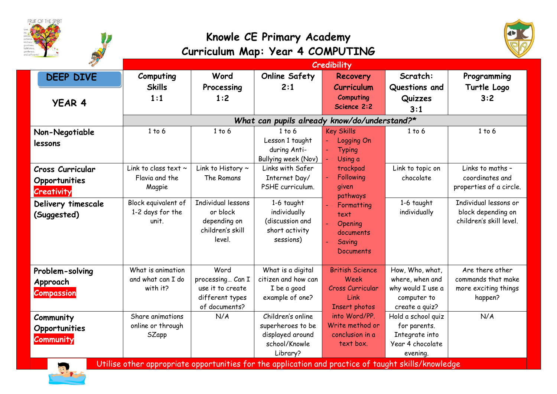